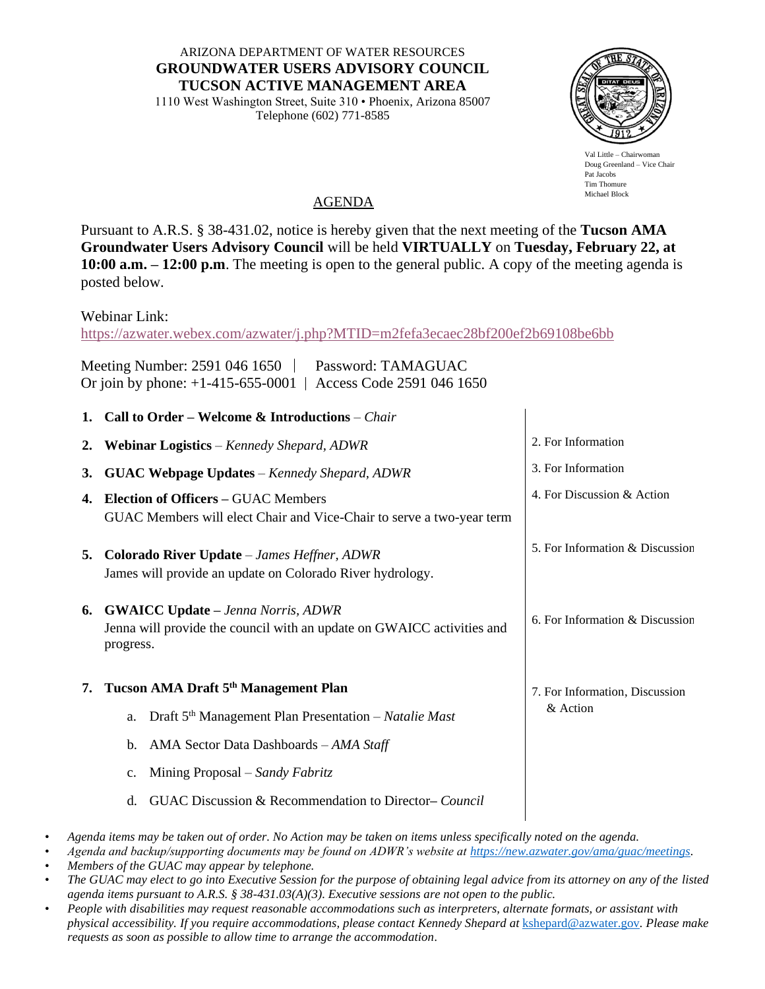ARIZONA DEPARTMENT OF WATER RESOURCES **GROUNDWATER USERS ADVISORY COUNCIL TUCSON ACTIVE MANAGEMENT AREA**

1110 West Washington Street, Suite 310 • Phoenix, Arizona 85007 Telephone (602) 771-8585



Val Little – Chairwor Doug Greenland – Vice Chair Pat Jacobs Tim Thomure Michael Block

## AGENDA

Pursuant to A.R.S. § 38-431.02, notice is hereby given that the next meeting of the **Tucson AMA Groundwater Users Advisory Council** will be held **VIRTUALLY** on **Tuesday, February 22, at 10:00 a.m. – 12:00 p.m**. The meeting is open to the general public. A copy of the meeting agenda is posted below.

Webinar Link:

<https://azwater.webex.com/azwater/j.php?MTID=m2fefa3ecaec28bf200ef2b69108be6bb>

Meeting Number: 2591 046 1650 | Password: TAMAGUAC Or join by phone: +1-415-655-0001 | Access Code 2591 046 1650

| 1. Call to Order – Welcome & Introductions – <i>Chair</i> |
|-----------------------------------------------------------|
|                                                           |

| 2. | <b>Webinar Logistics</b> – Kennedy Shepard, ADWR                                                                                 | 2. For Information              |
|----|----------------------------------------------------------------------------------------------------------------------------------|---------------------------------|
| 3. | <b>GUAC Webpage Updates</b> – Kennedy Shepard, ADWR                                                                              | 3. For Information              |
| 4. | <b>Election of Officers - GUAC Members</b><br>GUAC Members will elect Chair and Vice-Chair to serve a two-year term              | 4. For Discussion & Action      |
| 5. | <b>Colorado River Update</b> – James Heffner, ADWR<br>James will provide an update on Colorado River hydrology.                  | 5. For Information & Discussion |
| 6. | <b>GWAICC Update – Jenna Norris, ADWR</b><br>Jenna will provide the council with an update on GWAICC activities and<br>progress. | 6. For Information & Discussion |
| 7. | Tucson AMA Draft 5 <sup>th</sup> Management Plan                                                                                 | 7. For Information, Discussion  |
|    | Draft $5th$ Management Plan Presentation – Natalie Mast<br>a.                                                                    | & Action                        |
|    | AMA Sector Data Dashboards - AMA Staff<br>b.                                                                                     |                                 |
|    | Mining Proposal – Sandy Fabritz<br>$\mathbf{C}$ .                                                                                |                                 |
|    | GUAC Discussion & Recommendation to Director– Council<br>d.                                                                      |                                 |

• *Agenda items may be taken out of order. No Action may be taken on items unless specifically noted on the agenda.* 

• *Agenda and backup/supporting documents may be found on ADWR's website at [https://new.azwater.gov/ama/guac/meetings.](https://new.azwater.gov/ama/guac/meetings)*

• *Members of the GUAC may appear by telephone.* 

• *The GUAC may elect to go into Executive Session for the purpose of obtaining legal advice from its attorney on any of the listed agenda items pursuant to A.R.S. § 38-431.03(A)(3). Executive sessions are not open to the public.*

• *People with disabilities may request reasonable accommodations such as interpreters, alternate formats, or assistant with physical accessibility. If you require accommodations, please contact Kennedy Shepard at* [kshepard@azwater.gov](mailto:kshepard@azwater.gov)*. Please make requests as soon as possible to allow time to arrange the accommodation.*